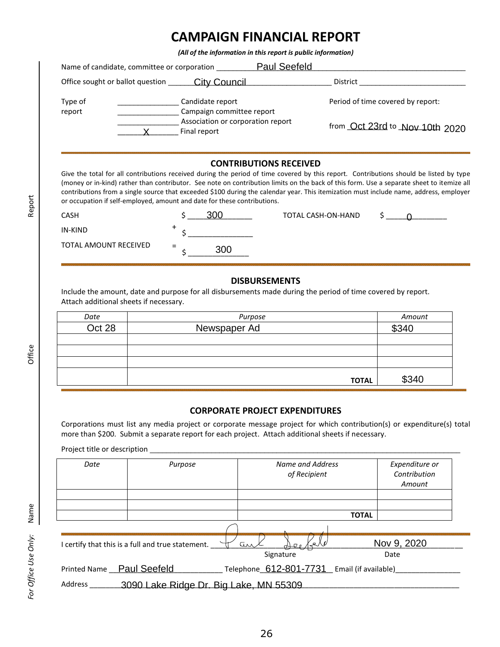# **CAMPAIGN FINANCIAL REPORT**

*(All of the information in this report is public information)*

| Name of candidate, committee or corporation | Paul Seefeld                                      |                                   |
|---------------------------------------------|---------------------------------------------------|-----------------------------------|
| Office sought or ballot question            | City Council                                      | District                          |
| Type of<br>report                           | Candidate report<br>Campaign committee report     | Period of time covered by report: |
|                                             | Association or corporation report<br>Final report | from Oct 23rd to Nov 10th 2020    |

# **CONTRIBUTIONS RECEIVED**

| <b>CASH</b>           |     | TOTAL CASH-ON-HAND |  |
|-----------------------|-----|--------------------|--|
| IN-KIND               |     |                    |  |
| TOTAL AMOUNT RECEIVED | $=$ |                    |  |

### **DISBURSEMENTS**

|                                        | Final report                                                                                                                                                                                                                                                                                                                                                                                                                                                                                                                           | from <u>OCt 23rd</u> to Nov 10th 2020 |
|----------------------------------------|----------------------------------------------------------------------------------------------------------------------------------------------------------------------------------------------------------------------------------------------------------------------------------------------------------------------------------------------------------------------------------------------------------------------------------------------------------------------------------------------------------------------------------------|---------------------------------------|
|                                        | <b>CONTRIBUTIONS RECEIVED</b><br>Give the total for all contributions received during the period of time covered by this report. Contributions should be listed by typ<br>(money or in-kind) rather than contributor. See note on contribution limits on the back of this form. Use a separate sheet to itemize a<br>contributions from a single source that exceeded \$100 during the calendar year. This itemization must include name, address, employe<br>or occupation if self-employed, amount and date for these contributions. |                                       |
| CASH                                   | <u>300</u><br><b>TOTAL CASH-ON-HAND</b>                                                                                                                                                                                                                                                                                                                                                                                                                                                                                                |                                       |
| <b>IN-KIND</b>                         | +                                                                                                                                                                                                                                                                                                                                                                                                                                                                                                                                      |                                       |
| <b>TOTAL AMOUNT RECEIVED</b>           | 300                                                                                                                                                                                                                                                                                                                                                                                                                                                                                                                                    |                                       |
| Attach additional sheets if necessary. | <b>DISBURSEMENTS</b><br>Include the amount, date and purpose for all disbursements made during the period of time covered by report.                                                                                                                                                                                                                                                                                                                                                                                                   |                                       |
| Date                                   | Purpose                                                                                                                                                                                                                                                                                                                                                                                                                                                                                                                                | Amount                                |
| Oct 28                                 | Newspaper Ad                                                                                                                                                                                                                                                                                                                                                                                                                                                                                                                           | \$340                                 |
|                                        |                                                                                                                                                                                                                                                                                                                                                                                                                                                                                                                                        |                                       |
|                                        | <b>TOTAL</b>                                                                                                                                                                                                                                                                                                                                                                                                                                                                                                                           | \$340                                 |

# **CORPORATE PROJECT EXPENDITURES**

|                                                      |                                                                                                                                                                                                                                                                                                  |                                                                                                    | Office sought or ballot question _______ City Council __________________________                                                                                                                                                                                                                                                                                                                                              |                                                                     |
|------------------------------------------------------|--------------------------------------------------------------------------------------------------------------------------------------------------------------------------------------------------------------------------------------------------------------------------------------------------|----------------------------------------------------------------------------------------------------|-------------------------------------------------------------------------------------------------------------------------------------------------------------------------------------------------------------------------------------------------------------------------------------------------------------------------------------------------------------------------------------------------------------------------------|---------------------------------------------------------------------|
| Type of<br>report                                    | $\mathsf{X}$ and $\mathsf{X}$ and $\mathsf{X}$ are $\mathsf{X}$ and $\mathsf{X}$ are $\mathsf{X}$ and $\mathsf{X}$ are $\mathsf{X}$ and $\mathsf{X}$ are $\mathsf{X}$ and $\mathsf{X}$ are $\mathsf{X}$ and $\mathsf{X}$ are $\mathsf{X}$ and $\mathsf{X}$ are $\mathsf{X}$ and $\mathsf{X}$ are | Candidate report<br>Campaign committee report<br>Association or corporation report<br>Final report |                                                                                                                                                                                                                                                                                                                                                                                                                               | Period of time covered by report:<br>from Oct 23rd to Nov 10th 2020 |
|                                                      |                                                                                                                                                                                                                                                                                                  |                                                                                                    | <b>CONTRIBUTIONS RECEIVED</b>                                                                                                                                                                                                                                                                                                                                                                                                 |                                                                     |
|                                                      |                                                                                                                                                                                                                                                                                                  | or occupation if self-employed, amount and date for these contributions.                           | Give the total for all contributions received during the period of time covered by this report. Contributions should be listed by type<br>(money or in-kind) rather than contributor. See note on contribution limits on the back of this form. Use a separate sheet to itemize all<br>contributions from a single source that exceeded \$100 during the calendar year. This itemization must include name, address, employer |                                                                     |
| CASH                                                 |                                                                                                                                                                                                                                                                                                  | 300                                                                                                | TOTAL CASH-ON-HAND                                                                                                                                                                                                                                                                                                                                                                                                            | $\frac{1}{2}$ 0                                                     |
| <b>IN-KIND</b>                                       |                                                                                                                                                                                                                                                                                                  |                                                                                                    |                                                                                                                                                                                                                                                                                                                                                                                                                               |                                                                     |
| <b>TOTAL AMOUNT RECEIVED</b>                         |                                                                                                                                                                                                                                                                                                  | 300                                                                                                |                                                                                                                                                                                                                                                                                                                                                                                                                               |                                                                     |
|                                                      |                                                                                                                                                                                                                                                                                                  |                                                                                                    | <b>DISBURSEMENTS</b>                                                                                                                                                                                                                                                                                                                                                                                                          |                                                                     |
| Attach additional sheets if necessary.               |                                                                                                                                                                                                                                                                                                  |                                                                                                    | Include the amount, date and purpose for all disbursements made during the period of time covered by report.                                                                                                                                                                                                                                                                                                                  |                                                                     |
| Date                                                 |                                                                                                                                                                                                                                                                                                  |                                                                                                    | Purpose                                                                                                                                                                                                                                                                                                                                                                                                                       | Amount                                                              |
| Oct 28                                               |                                                                                                                                                                                                                                                                                                  | Newspaper Ad                                                                                       |                                                                                                                                                                                                                                                                                                                                                                                                                               | \$340                                                               |
|                                                      |                                                                                                                                                                                                                                                                                                  |                                                                                                    | <b>TOTAL</b>                                                                                                                                                                                                                                                                                                                                                                                                                  | \$340                                                               |
|                                                      |                                                                                                                                                                                                                                                                                                  |                                                                                                    | <b>CORPORATE PROJECT EXPENDITURES</b><br>Corporations must list any media project or corporate message project for which contribution(s) or expenditure(s) total<br>more than \$200. Submit a separate report for each project. Attach additional sheets if necessary.                                                                                                                                                        |                                                                     |
|                                                      |                                                                                                                                                                                                                                                                                                  |                                                                                                    |                                                                                                                                                                                                                                                                                                                                                                                                                               |                                                                     |
| Date                                                 |                                                                                                                                                                                                                                                                                                  | Purpose                                                                                            | <b>Name and Address</b><br>of Recipient                                                                                                                                                                                                                                                                                                                                                                                       | Expenditure or<br>Contribution<br>Amount                            |
|                                                      |                                                                                                                                                                                                                                                                                                  |                                                                                                    |                                                                                                                                                                                                                                                                                                                                                                                                                               |                                                                     |
|                                                      |                                                                                                                                                                                                                                                                                                  |                                                                                                    | <b>TOTAL</b>                                                                                                                                                                                                                                                                                                                                                                                                                  |                                                                     |
|                                                      |                                                                                                                                                                                                                                                                                                  |                                                                                                    | an                                                                                                                                                                                                                                                                                                                                                                                                                            | Nov 9, 2020                                                         |
| I certify that this is a full and true statement. \[ |                                                                                                                                                                                                                                                                                                  |                                                                                                    | Signature                                                                                                                                                                                                                                                                                                                                                                                                                     | Date                                                                |
|                                                      |                                                                                                                                                                                                                                                                                                  | Address __________3090 Lake Ridge Dr. Big Lake, MN 55309                                           | Printed Name Paul Seefeld Telephone 612-801-7731 Email (if available)                                                                                                                                                                                                                                                                                                                                                         |                                                                     |